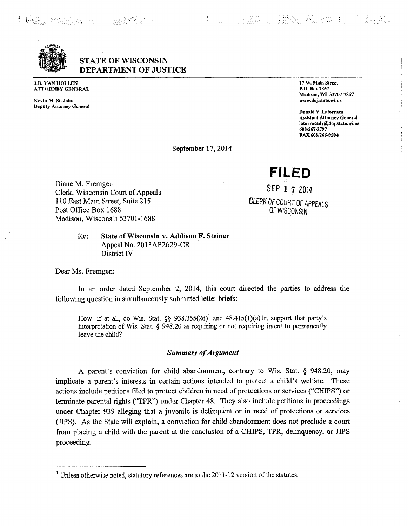: !

**ft** igi **i**

**STATE OF WISCONSIN DEPARTMENT OF JUSTICE**

J.B. VAN HOLLEN ATTORNEY GENERAL

**Kevin M. St. John Deputy Attorney General** **17 W. Main Street P.O. Box 7857 Madison, WI 53707-7857 [www.doj.statc.wi.us](http://www.doj.statc.wi.us)**

**Donald V. Latorraca Assistant Attorney General [latorracadv@doj.state.wi.us](mailto:latorracadv@doj.state.wi.us) 608/267-2797 FAX608/266-9594 <sup>i</sup>**

September 17,2014

**FILED**

**SEP 1 ? 2014 CLERK** OF COURT OF APPEALS OF WISCONSIN

Diane M. Fremgen Clerk, Wisconsin Court of Appeals 110 East Main Street, Suite 215 Post Office Box 1688 Madison, Wisconsin 53701-1688

# **Re: State ofWisconsin v. Addison F. Steiner** Appeal No. 2013AP2629-CR District IV

Dear Ms. Fremgen:

In an order dated September 2, 2014, this court directed the parties to address the following question in simultaneously submitted letter briefs:

How, if at all, do Wis. Stat. §§ 938.355(2d)<sup>1</sup> and 48.415(1)(a)1r. support that party's interpretation of Wis. Stat. § 948.20 as requiring or not requiring intent to permanently leave the child?

### *Summary ofArgument*

A parent's conviction for child abandonment, contrary to Wis. Stat. § 948.20, may implicate <sup>a</sup> parent's interests in certain actions intended to protect <sup>a</sup> child's welfare. These actions include petitions filed to protect children in need of protections or services ("CHIPS") or terminate parental rights ("TPR") under Chapter 48. They also include petitions in proceedings under Chapter 939 alleging that <sup>a</sup> juvenile is delinquent or in need of protections or services (JIPS). As the State will explain, a conviction for child abandonment does not preclude a court from placing <sup>a</sup> child with the parent at the conclusion of <sup>a</sup> CHIPS, TPR, delinquency, or JIPS proceeding.

<sup>&</sup>lt;sup>1</sup> Unless otherwise noted, statutory references are to the 2011-12 version of the statutes.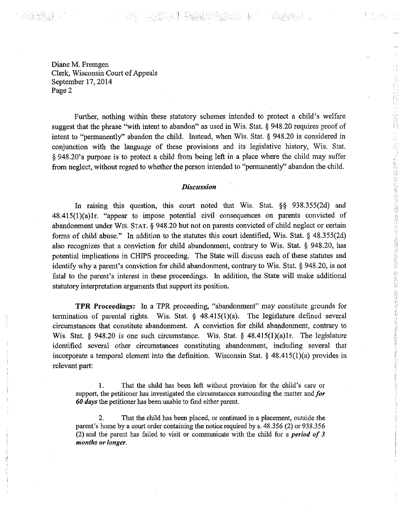*i* **;**

**;;**

Diane M. Fremgen Clerk, Wisconsin Court of Appeals September 17, 2014 Page 2

Further, nothing within these statutory schemes intended to protect <sup>a</sup> child's welfare suggest that the phrase "with intent to abandon" as used in Wis. Stat. § 948.20 requires proof of intent to "permanently" abandon the child. Instead, when Wis. Stat. § 948.20 is considered in conjunction with the language of these provisions and its legislative history, Wis. Stat. § 948.20's purpose is to protect <sup>a</sup> child from being left in <sup>a</sup> place where the child may suffer from neglect, without regard to whether the person intended to "permanently" abandon the child.

- ASSS-SEERING

**;**

i na

《胡英辞》:

**:-.v:**

*■y.*

*■h*

**I**

**I**

**6** *U* **£**

**.**

*l* **\***

 **r.**

#### $Discussion$

In raising this question, this court noted that Wis. Stat. §§ 938.355(2d) and 48.415(l)(a)lr. "appear to impose potential civil consequences on parents convicted of abandonment under WIS. STAT. § 948.20 but not on parents convicted of child neglect or certain forms of child abuse." In addition to the statutes this court identified, Wis. Stat. § 48.355(2d) also recognizes that a conviction for child abandonment, contrary to Wis. Stat. § 948.20, has potential implications in CHIPS proceeding. The State will discuss each of these statutes and identity why <sup>a</sup> parent's conviction for child abandonment, contrary to Wis. Stat. § 948.20, is not fatal to the parent's interest in these proceedings. In addition, the State will make additional statutory interpretation arguments that support its position.

**TPR** Proceedings: In <sup>a</sup> TPR proceeding, "abandonment" may constitute grounds for termination of parental rights. Wis. Stat. § 48.415(l)(a). The legislature defined several circumstances that constitute abandonment. A conviction for child abandonment, contrary to Wis. Stat. § 948.20 is one such circumstance. Wis. Stat. § 48.415(1)(a)1r. The legislature identified several other circumstances constituting abandonment, including several that incorporate a temporal element into the definition. Wisconsin Stat.  $\S$  48.415(1)(a) provides in relevant part:

That the child has been left without provision for the child's care or support, the petitioner has investigated the circumstances surrounding the matter and*for 60 days* the petitioner has been unable to find either parent. 1.

That the child has been placed, or continued in a placement, outside the parent's home by a court order containing the notice required by s. 48.356 (2) or 938.356 (2) and the parent has failed to visit or communicate with the child for <sup>a</sup> *period of <sup>3</sup> months or longer.* **2.**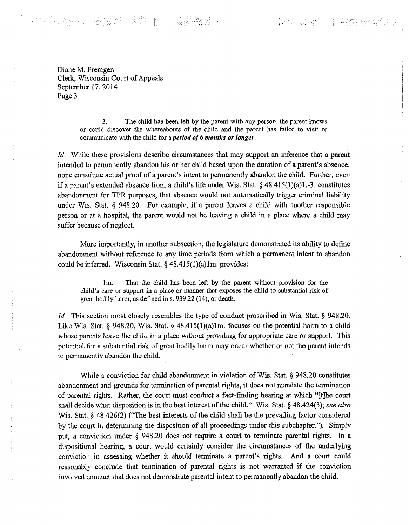# - Teles - The Looker April - Pakistics - April 1985<br>1988年 - The April - Pakistics - April 1987

**!**

Diane M. Fremgen Clerk, Wisconsin Court of Appeals September 17,2014 Page 3

> 3. The child has been left by the parent with any person, the parent knows or could discover the whereabouts of the child and the parent has failed to visit or communicate with the child for <sup>a</sup> *period of6 months or longer.*

*Id.* While these provisions describe circumstances that may support an inference that a parent intended to permanently abandon his or her child based upon the duration of <sup>a</sup> parent's absence, none constitute actual proofof <sup>a</sup> parent's intent to permanently abandon the child. Further, even if a parent's extended absence from a child's life under Wis. Stat.  $\S$  48.415(1)(a)1.-3. constitutes abandonment for TPR purposes, that absence would not automatically trigger criminal liability under Wis. Stat. § 948.20. For example, if <sup>a</sup> parent leaves <sup>a</sup> child with another responsible person or at a hospital, the parent would not be leaving a child in a place where a child may suffer because of neglect.

More importantly, in another subsection, the legislature demonstrated its ability to define abandonment without reference to any time periods from which a permanent intent to abandon could be inferred. Wisconsin Stat. § 48.415(l)(a)lm. provides:

That the child has been left by the parent without provision for the child's care or support in <sup>a</sup> place or manner that exposes the child to substantial risk of great bodily harm, as defined in s. 939.22 (14), or death. lm.

*Id.* This section most closely resembles the type of conduct proscribed in Wis. Stat. § 948.20. Like Wis. Stat. § 948.20, Wis. Stat. § 48.415(1)(a)1m. focuses on the potential harm to a child whose parents leave the child in a place without providing for appropriate care or support. This potential for <sup>a</sup> substantial risk of great bodily harm may occur whether or not the parent intends to permanently abandon the child.

While a conviction for child abandonment in violation of Wis. Stat. § 948.20 constitutes abandonment and grounds for termination of parental rights, it does not mandate the termination of parental rights. Rather, the court must conduct <sup>a</sup> fact-finding hearing at which "[t]he court shall decide what disposition is in the best interest of the child." Wis. Stat. § 48.424(3); see also Wis. Stat. § 48.426(2) ("The best interests of the child shall be the prevailing factor considered by the court in determining the disposition of all proceedings under this subchapter."). Simply put, a conviction under § 948.20 does not require a court to terminate parental rights. In a dispositional hearing, a court would certainly consider the circumstances of the underlying conviction in assessing whether it should terminate <sup>a</sup> parent's rights. And <sup>a</sup> court could reasonably conclude that termination of parental rights is not warranted if the conviction involved conduct that does not demonstrate parental intent to permanently abandon the child.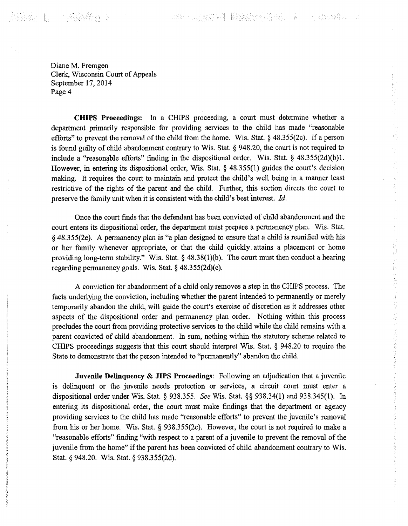**19. 医尿管炎** - H

**!**

**i**

**I i**

5

**}** *i* **¥**

*i* **I :**

**i: <sup>i</sup>**

**!**

**r**

しゅぎ アクセス

1.4、韩元的诗人的诗人的诗人的诗人的诗人的诗本书 计多类语言

Diane M. Fremgen Clerk, Wisconsin Court of Appeals September 17, 2014 Page 4

**CHIPS Proceedings:** In a CHIPS proceeding, a court must determine whether a department primarily responsible for providing services to the child has made "reasonable efforts" to prevent the removal of the child from the home. Wis. Stat.  $\S$  48.355(2c). If a person is found guilty of child abandonment contrary to Wis. Stat. § 948.20, the court is not required to include <sup>a</sup> "reasonable efforts" finding in the dispositional order. Wis. Stat. § 48.355(2d)(b)l. However, in entering its dispositional order, Wis. Stat. § 48.355(1) guides the court's decision making. It requires the court to maintain and protect the child's well being in <sup>a</sup> manner least restrictive of the rights of the parent and the child. Further, this section directs the court to preserve the family unit when it is consistent with the child's best interest. *Id.*

Once the court finds that the defendant has been convicted of child abandonment and the court enters its dispositional order, the department must prepare a permanency plan. Wis. Stat. § 48.355(2e). A permanency plan is "a plan designed to ensure that <sup>a</sup> child is reunified with his or her family whenever appropriate, or that the child quickly attains a placement or home providing long-term stability." Wis. Stat. § 48.38(1)(b). The court must then conduct a hearing regarding permanency goals. Wis. Stat. § 48.355(2d)(c).

A conviction for abandonment of a child only removes a step in the CHIPS process. The facts underlying the conviction, including whether the parent intended to permanently or merely temporarily abandon the child, will guide the court's exercise of discretion as it addresses other aspects of the dispositional order and permanency plan order. Nothing within this process precludes the court from providing protective services to the child while the child remains with a parent convicted of child abandonment. In sum, nothing within the statutory scheme related to CHIPS proceedings suggests that this court should interpret Wis. Stat. § 948,20 to require the State to demonstrate that the person intended to "permanently" abandon the child.

**Juvenile Delinquency & JIPS Proceedings:** Following an adjudication that <sup>a</sup> juvenile is delinquent or the juvenile needs protection or services, a circuit court must enter a dispositional order under Wis. Stat. § 938.355. *See* Wis. Stat. §§ 938.34(1) and 938.345(1). In entering its dispositional order, the court must make findings that the department or agency providing services to the child has made "reasonable efforts" to prevent the juvenile's removal from his or her home. Wis. Stat. § 938.355(2c). However, the court is not required to make a "reasonable efforts" finding "with respect to <sup>a</sup> parent of <sup>a</sup> juvenile to prevent the removal of the juvenile from the home" if the parent has been convicted of child abandonment contrary to Wis. Stat. § 948.20. Wis. Stat. § 938.355(2d).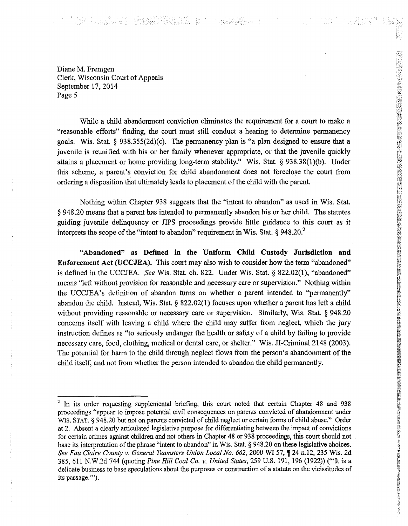# **「本的 以以法合同】 数据数据的数据数据**

Diane M. Fremgen Clerk, Wisconsin Court of Appeals September 17,2014 Page 5

While a child abandonment conviction eliminates the requirement for a court to make a "reasonable efforts" finding, the court must still conduct <sup>a</sup> hearing to determine permanency goals. Wis. Stat. § 938.355(2d)(c). The permanency plan is "a plan designed to ensure that <sup>a</sup> juvenile is reunified with his or her family whenever appropriate, or that the juvenile quickly attains <sup>a</sup> placement or home providing long-term stability." Wis. Stat. § 938.38(l)(b). Under this scheme, <sup>a</sup> parent's conviction for child abandonment does not foreclose the court from ordering <sup>a</sup> disposition that ultimately leads to placement ofthe child with the parent.

*m*

That Charles of the

**s** *m m.*

*m* **I**

**I**

*m*

**8!§**

**i I**

**11** 

**E8 I**

**Hi &** *n m* **P**

**B**<br>Beat 28, 2008, 2008

**I te** *M*!5s

**is Si i**

**I I !**

**g** *[C* **I**

**I**

**i E e !**

**a i 8**

Nothing within Chapter <sup>938</sup> suggests that the "intent to abandon" as used in Wis. Stat. **1** § 948.20 means that a parent has intended to permanently abandon his or her child. The statutes guiding juvenile delinquency or TIPS proceedings provide little guidance to this court as it interprets the scope of the "intent to abandon" requirement in Wis. Stat.  $\S 948.20$ .

**rs "Abandoned" as Defined in the Uniform Child Custody Jurisdiction and Enforcement Act (UCCJEA).** This court may also wish to consider how the term "abandoned" is defined in the UCCJEA. *See* Wis. Stat. ch. 822. Under Wis. Stat. § 822.02(1), "abandoned" means "left without provision for reasonable and necessary care or supervision." Nothing within the UCCJEA's definition of abandon turns on whether <sup>a</sup> parent intended to "permanently" abandon the child. Instead, Wis. Stat. § 822.02(1) focuses upon whether a parent has left a child without providing reasonable or necessary care or supervision. Similarly, Wis. Stat. § 948.20 concerns itself with leaving <sup>a</sup> child where the child may suffer from neglect, which the jury instruction defines as "to seriously endanger the health or safety of <sup>a</sup> child by failing to provide necessary care, food, clothing, medical or dental care, or shelter." Wis. Jl-Criminal <sup>2148</sup> (2003). The potential for harm to the child through neglect flows from the person's abandonment of the child itself, and not from whether the person intended to abandon the child permanently.

<sup>&</sup>lt;sup>2</sup> In its order requesting supplemental briefing, this court noted that certain Chapter 48 and 938 proceedings "appear to impose potential civil consequences on parents convicted of abandonment under WIS. STAT. § 948.20 but not on parents convicted of child neglect or certain forms of child abuse." Order at 2. Absent a clearly articulated legislative purpose for differentiating between the impact of convictions for certain crimes against children and not others in Chapter 48 or 938 proceedings, this court should not base its interpretation of the phrase "intent to abandon" in Wis. Stat. § 948.20 on these legislative choices. *See Eau Claire County* v. *General Teamsters Union Local No. 662*, 2000 WI 57, ^ 24 n.12, 235 Wis. 2d 385, <sup>611</sup> N.W.2d <sup>744</sup> (quoting *Pine Hill Coal Co.* v. *United States,* <sup>259</sup> U.S. 191, <sup>196</sup> (1922)) ('"It is <sup>a</sup> delicate business to base speculations about the purposes or construction of a statute on the vicissitudes of its passage.'").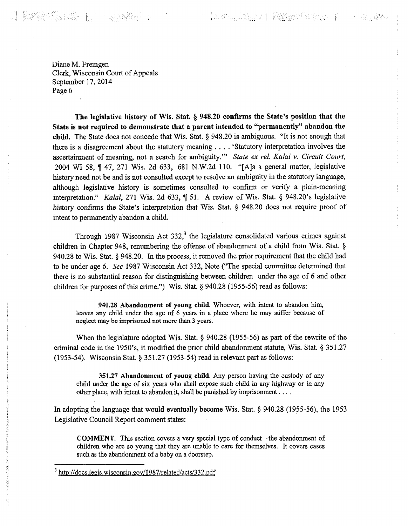Diane M. Fremgen Clerk, Wisconsin Court of Appeals September 17, 2014 Page 6

5. 1999年11月

**:**

**I**

**I**

**i**

**j i: ti**

**The legislative history of Wis. Stat. § 948.20 confirms the State's position that the State is not required to demonstrate that <sup>a</sup> parent intended to "permanently" abandon the child.** The State does not concede that Wis. Stat. § 948.20 is ambiguous. "It is not enough that there is <sup>a</sup> disagreement about the statutory meaning .... 'Statutory interpretation involves the ascertainment of meaning, not <sup>a</sup> search for ambiguity.'" *State ex rel. Kalal* v. *Circuit Court,* 2004 WI 58, ¶ 47, 271 Wis. 2d 633, 681 N.W.2d 110. "[A]s a general matter, legislative history need not be and is not consulted except to resolve an ambiguity in the statutory language, although legislative history is sometimes consulted to confirm or verify a plain-meaning interpretation." *Kalal*, 271 Wis. 2d 633,  $\parallel$  51. A review of Wis. Stat. § 948.20's legislative history confirms the State's interpretation that Wis. Stat. § 948.20 does not require proof of intent to permanently abandon **a** child.

**!!!! | 1999** | 1999 | 1999 | 1999 | 1999 | 1999 | 1999 | 1999 | 1999 | 1999 | 1999 | 1999 | 1999 | 1999 | 1999 |

**!.**

Through 1987 Wisconsin Act 332, $3$  the legislature consolidated various crimes against children in Chapter 948, renumbering the offense of abandonment of a child from Wis. Stat. § 940.28 to Wis. Stat. § 948.20. In the process, it removed the prior requirement that the child had to be under age 6. *See* <sup>1987</sup> Wisconsin Act 332, Note ("The special committee determined that there is no substantial reason for distinguishing between children under the age of 6 and other children for purposes of this crime.") Wis. Stat. § 940.28 (1955-56) read as follows:

**940.28 Abandonment of young child.** Whoever, with intent to abandon him, leaves any child under the age of 6 years in <sup>a</sup> place where he may suffer because of neglect may be imprisoned not more than 3 years.

When the legislature adopted Wis. Stat. § 940.28 (1955-56) as part of the rewrite of the criminal code in the 1950's, it modified the prior child abandonment statute, Wis. Stat. § 351.27 (1953-54). Wisconsin Stat. § 351.27 (1953-54) read in relevant part as follows:

**351.27 Abandonment of young child.** Any person having the custody of any child under the age of six years who shall expose such child in any highway or in any other place, with intent to abandon it, shall be punished by imprisonment....

In adopting the language that would eventually become Wis. Stat. § 940.28 (1955-56), the 1953 Legislative Council Report comment states:

COMMENT. This section covers a very special type of conduct—the abandonment of children who are so young that they are unable to care for themselves. It covers cases such as the abandonment of a baby on a doorstep.

<sup>&</sup>lt;sup>3</sup> http://docs.legis.wisconsin.gov/1987/related/acts/332.pdf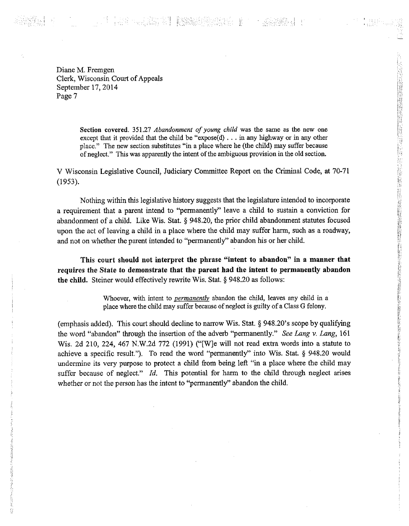i ne de la provincia de la provincia<br>La necessidad de la provincia ft

Diane M. Fremgen Clerk, Wisconsin Court of Appeals September 17, 2014 Page 7

P

*i*

'

**s**;ft ft

*1* ft

Section covered. 351.27 *Abandonment of young child* was the same as the new one except that it provided that the child be "expose(d)  $\ldots$  in any highway or in any other place." The new section substitutes "in <sup>a</sup> place where he (the child) may suffer because of neglect." This was apparently the intent of the ambiguous provision in the old section.

V Wisconsin Legislative Council, Judiciary Committee Report on the Criminal Code, at 70-71 (1953).

Nothing within this legislative history suggests that the legislature intended to incorporate <sup>a</sup> requirement that <sup>a</sup> parent intend to "permanently" leave <sup>a</sup> child to sustain <sup>a</sup> conviction for abandonment of <sup>a</sup> child. Like Wis. Stat. § 948.20, the prior child abandonment statutes focused upon the act of leaving a child in a place where the child may suffer harm, such as <sup>a</sup> roadway, and not on whether the parent intended to "permanently" abandon his or her child.

**This court should not interpret the phrase "intent to abandon" in <sup>a</sup> manner that requires the State to demonstrate that the parent had the intent to permanently abandon the child.** Steiner would effectively rewrite Wis. Stat. § 948.20 as follows:

Whoever, with intent to *permanently* abandon the child, leaves any child in a place where the child may suffer because of neglect is guilty of a Class G felony.

> (emphasis added). This court should decline to narrow Wis. Stat. § 948.20's scope by qualifying the word "abandon" through the insertion of the adverb "permanently." *See Lang* v. *Lang,* <sup>161</sup> Wis. 2d 210, 224, <sup>467</sup> N.W.2d <sup>772</sup> (1991) ("[W]e will not read extra words into <sup>a</sup> statute to achieve a specific result."). To read the word "permanently" into Wis. Stat. § 948.20 would undermine its very purpose to protect <sup>a</sup> child from being left "in <sup>a</sup> place where the child may suffer because of neglect." *Id.* This potential for harm to the child through neglect arises whether or not the person has the intent to "permanently" abandon the child.